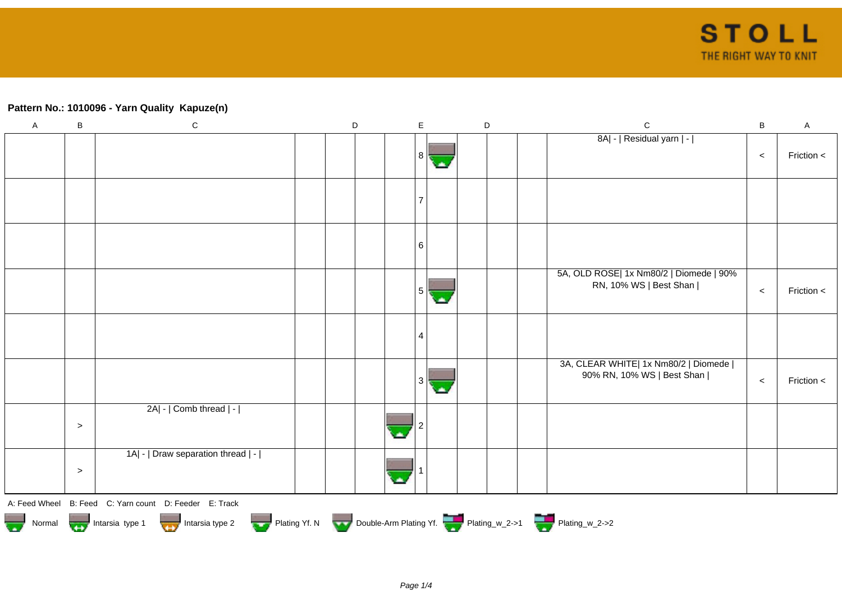## **Pattern No.: 1010096 - Yarn Quality Kapuze(n)**

| $\mathsf A$ | $\sf B$                                                                                               | ${\bf C}$                                              |  | D |  | $\mathsf E$ |    | $\mathsf D$ |  | ${\bf C}$                                                            | $\mathsf B$ | $\mathsf A$ |
|-------------|-------------------------------------------------------------------------------------------------------|--------------------------------------------------------|--|---|--|-------------|----|-------------|--|----------------------------------------------------------------------|-------------|-------------|
|             |                                                                                                       |                                                        |  |   |  | 8           |    |             |  | 8A  -   Residual yarn   -                                            | $\prec$     | Friction <  |
|             |                                                                                                       |                                                        |  |   |  |             |    |             |  |                                                                      |             |             |
|             |                                                                                                       |                                                        |  |   |  | $\,6\,$     |    |             |  |                                                                      |             |             |
|             |                                                                                                       |                                                        |  |   |  | 5           | с. |             |  | 5A, OLD ROSE  1x Nm80/2   Diomede   90%<br>RN, 10% WS   Best Shan    | $\,<$       | Friction <  |
|             |                                                                                                       |                                                        |  |   |  | 4           |    |             |  |                                                                      |             |             |
|             |                                                                                                       |                                                        |  |   |  | 3           | ×  |             |  | 3A, CLEAR WHITE  1x Nm80/2   Diomede  <br>90% RN, 10% WS   Best Shan | $\,<\,$     | Friction <  |
|             | $\geq$                                                                                                | $2A$ - $ $ Comb thread $ $ - $ $                       |  |   |  |             |    |             |  |                                                                      |             |             |
|             | $\geq$                                                                                                | 1A  -   Draw separation thread   -                     |  |   |  |             |    |             |  |                                                                      |             |             |
|             |                                                                                                       | A: Feed Wheel B: Feed C: Yarn count D: Feeder E: Track |  |   |  |             |    |             |  |                                                                      |             |             |
|             | Normal Montain Strategy Intarsia type 2 Plating Yf. N Double-Arm Plating Yf. N Double-Arm Plating Yf. |                                                        |  |   |  |             |    |             |  |                                                                      |             |             |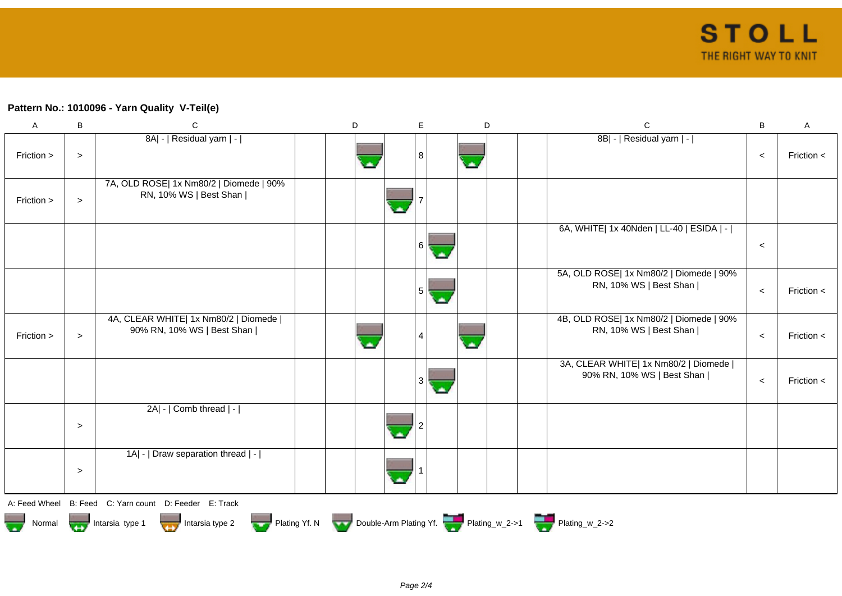## **Pattern No.: 1010096 - Yarn Quality V-Teil(e)**

| $\mathsf{A}$  | $\, {\sf B}$ | $\mathbf C$                                                          | D | $\mathsf E$ | D | $\mathsf C$                                                          | B     | A            |
|---------------|--------------|----------------------------------------------------------------------|---|-------------|---|----------------------------------------------------------------------|-------|--------------|
| Friction >    | $\, > \,$    | 8A  -   Residual yarn   -                                            |   | 8           | A | 8B  -   Residual yarn   -                                            | $\,<$ | Friction $<$ |
| Friction >    | $\geq$       | 7A, OLD ROSE  1x Nm80/2   Diomede   90%<br>RN, 10% WS   Best Shan    |   |             |   |                                                                      |       |              |
|               |              |                                                                      |   | 6<br>olis,  |   | 6A, WHITE  1x 40Nden   LL-40   ESIDA   -                             | $\,<$ |              |
|               |              |                                                                      |   | 5<br>œ      |   | 5A, OLD ROSE  1x Nm80/2   Diomede   90%<br>RN, 10% WS   Best Shan    | $\,<$ | Friction $<$ |
| Friction >    | $\geq$       | 4A, CLEAR WHITE  1x Nm80/2   Diomede  <br>90% RN, 10% WS   Best Shan |   |             |   | 4B, OLD ROSE  1x Nm80/2   Diomede   90%<br>RN, 10% WS   Best Shan    | $\,<$ | Friction $<$ |
|               |              |                                                                      |   | 3<br>а.     |   | 3A, CLEAR WHITE  1x Nm80/2   Diomede  <br>90% RN, 10% WS   Best Shan | $\,<$ | Friction $<$ |
|               | $\geq$       | $2A$ - $ $ Comb thread $ $ - $ $                                     |   |             |   |                                                                      |       |              |
|               | $\geq$       | 1A  -   Draw separation thread   -                                   |   |             |   |                                                                      |       |              |
|               |              | A: Feed Wheel B: Feed C: Yarn count D: Feeder E: Track               |   |             |   |                                                                      |       |              |
| - 1<br>Normal |              | Intarsia type 2<br>Intarsia type 1                                   |   |             |   | Plating Yf. N Double-Arm Plating Yf. Plating_w_2->1 Plating_w_2->2   |       |              |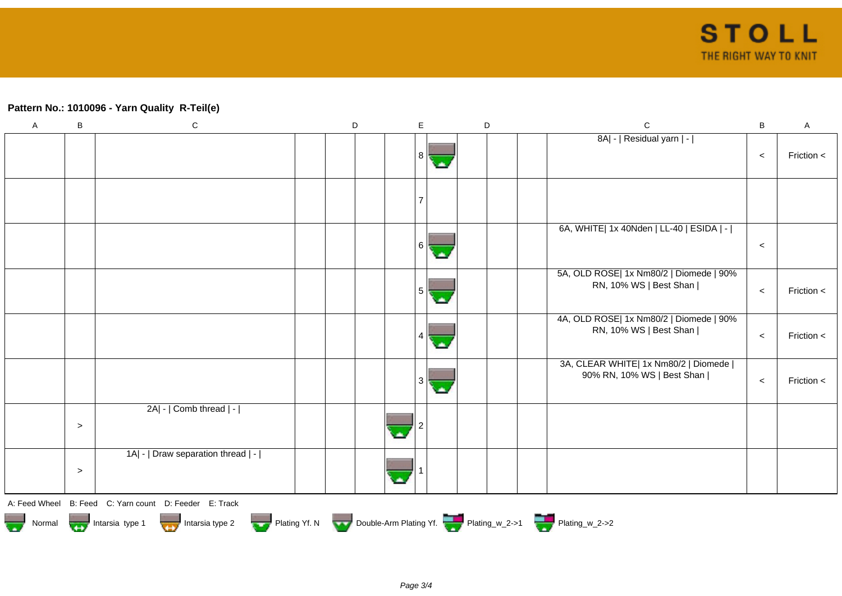## **Pattern No.: 1010096 - Yarn Quality R-Teil(e)**

| $\mathsf{A}$                                                                                                                                                        | $\sf B$ | ${\bf C}$                          | $\mathsf D$ |   | $\mathsf{E}$ |     | D | ${\bf C}$                                                            | $\, {\bf B}$ | $\mathsf A$ |
|---------------------------------------------------------------------------------------------------------------------------------------------------------------------|---------|------------------------------------|-------------|---|--------------|-----|---|----------------------------------------------------------------------|--------------|-------------|
|                                                                                                                                                                     |         |                                    |             |   | 8            | ٠   |   | 8A  -   Residual yarn   -                                            | $\prec$      | Friction <  |
|                                                                                                                                                                     |         |                                    |             |   |              |     |   |                                                                      |              |             |
|                                                                                                                                                                     |         |                                    |             |   | 6            | ملا |   | 6A, WHITE  1x 40Nden   LL-40   ESIDA   -                             | $\prec$      |             |
|                                                                                                                                                                     |         |                                    |             |   | 5            |     |   | 5A, OLD ROSE  1x Nm80/2   Diomede   90%<br>RN, 10% WS   Best Shan    | $\prec$      | Friction <  |
|                                                                                                                                                                     |         |                                    |             |   |              |     |   | 4A, OLD ROSE  1x Nm80/2   Diomede   90%<br>RN, 10% WS   Best Shan    | $\prec$      | Friction <  |
|                                                                                                                                                                     |         |                                    |             |   | 3            |     |   | 3A, CLEAR WHITE  1x Nm80/2   Diomede  <br>90% RN, 10% WS   Best Shan | $\prec$      | Friction <  |
|                                                                                                                                                                     | $\,>$   | 2A  -   Comb thread   -            |             | × |              |     |   |                                                                      |              |             |
|                                                                                                                                                                     | $\geq$  | 1A  -   Draw separation thread   - |             |   |              |     |   |                                                                      |              |             |
| A: Feed Wheel B: Feed C: Yarn count D: Feeder E: Track<br>Normal Intarsia type 1 Intarsia type 2 Plating Yf. N Double-Arm Plating Yf. Plating_w_2->1 Plating_w_2->2 |         |                                    |             |   |              |     |   |                                                                      |              |             |